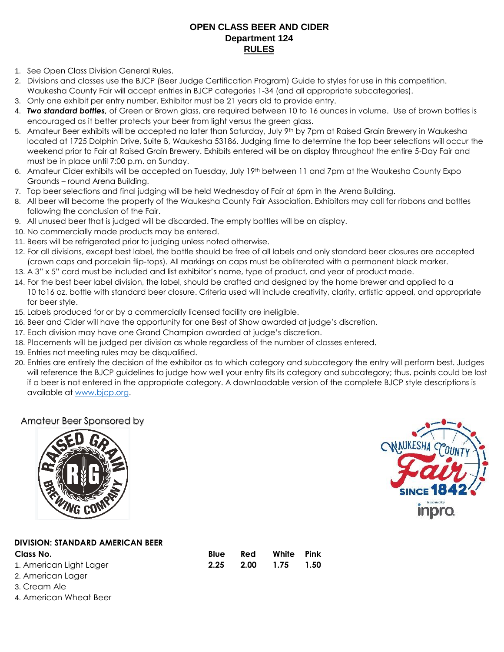## **OPEN CLASS BEER AND CIDER Department 124 RULES**

- 1. See Open Class Division General Rules.
- 2. Divisions and classes use the BJCP (Beer Judge Certification Program) Guide to styles for use in this competition. Waukesha County Fair will accept entries in BJCP categories 1-34 (and all appropriate subcategories).
- 3. Only one exhibit per entry number. Exhibitor must be 21 years old to provide entry.
- 4. *Two standard bottles,* of Green or Brown glass, are required between 10 to 16 ounces in volume. Use of brown bottles is encouraged as it better protects your beer from light versus the green glass.
- 5. Amateur Beer exhibits will be accepted no later than Saturday, July 9<sup>th</sup> by 7pm at Raised Grain Brewery in Waukesha located at 1725 Dolphin Drive, Suite B, Waukesha 53186. Judging time to determine the top beer selections will occur the weekend prior to Fair at Raised Grain Brewery. Exhibits entered will be on display throughout the entire 5-Day Fair and must be in place until 7:00 p.m. on Sunday.
- 6. Amateur Cider exhibits will be accepted on Tuesday, July 19th between 11 and 7pm at the Waukesha County Expo Grounds – round Arena Building.
- 7. Top beer selections and final judging will be held Wednesday of Fair at 6pm in the Arena Building.
- 8. All beer will become the property of the Waukesha County Fair Association. Exhibitors may call for ribbons and bottles following the conclusion of the Fair.
- 9. All unused beer that is judged will be discarded. The empty bottles will be on display.
- 10. No commercially made products may be entered.
- 11. Beers will be refrigerated prior to judging unless noted otherwise.
- 12. For all divisions, except best label, the bottle should be free of all labels and only standard beer closures are accepted (crown caps and porcelain flip-tops). All markings on caps must be obliterated with a permanent black marker.
- 13. A 3" x 5" card must be included and list exhibitor's name, type of product, and year of product made.
- 14. For the best beer label division, the label, should be crafted and designed by the home brewer and applied to a 10 to16 oz. bottle with standard beer closure. Criteria used will include creativity, clarity, artistic appeal, and appropriate for beer style.
- 15. Labels produced for or by a commercially licensed facility are ineligible.
- 16. Beer and Cider will have the opportunity for one Best of Show awarded at judge's discretion.
- 17. Each division may have one Grand Champion awarded at judge's discretion.
- 18. Placements will be judged per division as whole regardless of the number of classes entered.
- 19. Entries not meeting rules may be disqualified.
- 20. Entries are entirely the decision of the exhibitor as to which category and subcategory the entry will perform best. Judges will reference the BJCP guidelines to judge how well your entry fits its category and subcategory; thus, points could be lost if a beer is not entered in the appropriate category. A downloadable version of the complete BJCP style descriptions is available at [www.bjcp.org.](http://www.bjcp.org/)

**2.25 2.00 1.75 1.50** 

## Amateur Beer Sponsored by





## **DIVISION: STANDARD AMERICAN BEER**

| Class No. |  | Red White Pink |  |
|-----------|--|----------------|--|
|           |  |                |  |

- 1. American Light Lager 2. American Lager
- 3. Cream Ale
- 4. American Wheat Beer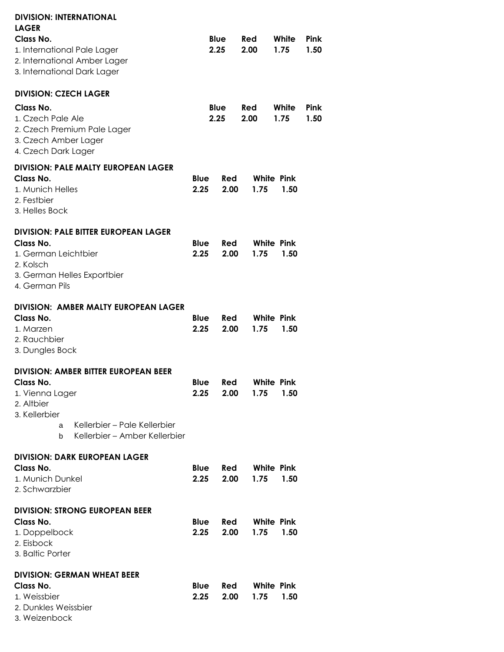| <b>DIVISION: INTERNATIONAL</b><br><b>LAGER</b>              |                     |              |                    |             |      |                           |              |
|-------------------------------------------------------------|---------------------|--------------|--------------------|-------------|------|---------------------------|--------------|
| Class No.                                                   |                     | Blue         |                    | Red         |      | White                     | Pink         |
| 1. International Pale Lager<br>2. International Amber Lager |                     | 2.25         |                    | 2.00        |      | 1.75                      | 1.50         |
| 3. International Dark Lager                                 |                     |              |                    |             |      |                           |              |
| <b>DIVISION: CZECH LAGER</b>                                |                     |              |                    |             |      |                           |              |
| Class No.<br>1. Czech Pale Ale                              |                     | Blue<br>2.25 |                    | Red<br>2.00 |      | White<br>1.75             | Pink<br>1.50 |
| 2. Czech Premium Pale Lager                                 |                     |              |                    |             |      |                           |              |
| 3. Czech Amber Lager<br>4. Czech Dark Lager                 |                     |              |                    |             |      |                           |              |
| <b>DIVISION: PALE MALTY EUROPEAN LAGER</b>                  |                     |              |                    |             |      |                           |              |
| Class No.                                                   | <b>Blue</b>         |              | Red                |             |      | <b>White Pink</b>         |              |
| 1. Munich Helles<br>2. Festbier                             | 2.25                |              | 2.00               |             | 1.75 | 1.50                      |              |
| 3. Helles Bock                                              |                     |              |                    |             |      |                           |              |
| <b>DIVISION: PALE BITTER EUROPEAN LAGER</b>                 |                     |              |                    |             |      |                           |              |
| Class No.<br>1. German Leichtbier                           | <b>Blue</b><br>2.25 |              | <b>Red</b><br>2.00 |             | 1.75 | <b>White Pink</b><br>1.50 |              |
| 2. Kolsch                                                   |                     |              |                    |             |      |                           |              |
| 3. German Helles Exportbier<br>4. German Pils               |                     |              |                    |             |      |                           |              |
| <b>DIVISION: AMBER MALTY EUROPEAN LAGER</b>                 |                     |              |                    |             |      |                           |              |
| Class No.<br>1. Marzen                                      | <b>Blue</b><br>2.25 |              | <b>Red</b><br>2.00 |             | 1.75 | <b>White Pink</b><br>1.50 |              |
| 2. Rauchbier                                                |                     |              |                    |             |      |                           |              |
| 3. Dungles Bock                                             |                     |              |                    |             |      |                           |              |
| <b>DIVISION: AMBER BITTER EUROPEAN BEER</b><br>Class No.    | Blue                |              | Red                |             |      | <b>White Pink</b>         |              |
| 1. Vienna Lager                                             | 2.25                |              | 2.00               |             | 1.75 | 1.50                      |              |
| 2. Altbier<br>3. Kellerbier                                 |                     |              |                    |             |      |                           |              |
| Kellerbier – Pale Kellerbier<br>a                           |                     |              |                    |             |      |                           |              |
| Kellerbier – Amber Kellerbier<br>b                          |                     |              |                    |             |      |                           |              |
| <b>DIVISION: DARK EUROPEAN LAGER</b><br>Class No.           | Blue                |              | Red                |             |      | <b>White Pink</b>         |              |
| 1. Munich Dunkel                                            | 2.25                |              | 2.00               |             | 1.75 | 1.50                      |              |
| 2. Schwarzbier                                              |                     |              |                    |             |      |                           |              |
| <b>DIVISION: STRONG EUROPEAN BEER</b>                       |                     |              |                    |             |      |                           |              |
| Class No.<br>1. Doppelbock                                  | Blue<br>2.25        |              | Red<br>2.00        |             | 1.75 | <b>White Pink</b><br>1.50 |              |
| 2. Eisbock<br>3. Baltic Porter                              |                     |              |                    |             |      |                           |              |
| <b>DIVISION: GERMAN WHEAT BEER</b>                          |                     |              |                    |             |      |                           |              |
| Class No.                                                   | Blue                |              | Red                |             |      | <b>White Pink</b>         |              |
| 1. Weissbier<br>2. Dunkles Weissbier                        | 2.25                |              | 2.00               |             | 1.75 | 1.50                      |              |
| 3. Weizenbock                                               |                     |              |                    |             |      |                           |              |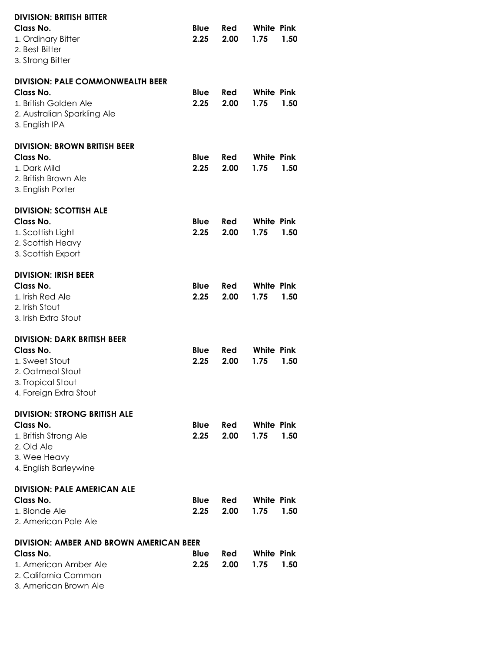| <b>DIVISION: BRITISH BITTER</b><br>Class No.<br>1. Ordinary Bitter<br>2. Best Bitter<br>3. Strong Bitter                              | Blue<br>2.25        | Red<br>2.00 | White Pink<br>1.75        | 1.50 |
|---------------------------------------------------------------------------------------------------------------------------------------|---------------------|-------------|---------------------------|------|
| <b>DIVISION: PALE COMMONWEALTH BEER</b><br>Class No.<br>1. British Golden Ale<br>2. Australian Sparkling Ale<br>3. English IPA        | <b>Blue</b><br>2.25 | Red<br>2.00 | White Pink<br>1.75        | 1.50 |
| <b>DIVISION: BROWN BRITISH BEER</b><br>Class No.<br>1. Dark Mild<br>2. British Brown Ale<br>3. English Porter                         | <b>Blue</b><br>2.25 | Red<br>2.00 | White Pink<br>1.75        | 1.50 |
| <b>DIVISION: SCOTTISH ALE</b><br>Class No.<br>1. Scottish Light<br>2. Scottish Heavy<br>3. Scottish Export                            | Blue<br>2.25        | Red<br>2.00 | White Pink<br>1.75        | 1.50 |
| <b>DIVISION: IRISH BEER</b><br>Class No.<br>1. Irish Red Ale<br>2. Irish Stout<br>3. Irish Extra Stout                                | <b>Blue</b><br>2.25 | Red<br>2.00 | White Pink<br>1.75        | 1.50 |
| <b>DIVISION: DARK BRITISH BEER</b><br>Class No.<br>1. Sweet Stout<br>2. Oatmeal Stout<br>3. Tropical Stout<br>4. Foreign Extra Stout  | Blue<br>2.25        | Red<br>2.00 | White Pink<br>1.75        | 1.50 |
| <b>DIVISION: STRONG BRITISH ALE</b><br>Class No.<br>1. British Strong Ale<br>2. Old Ale<br>3. Wee Heavy<br>4. English Barleywine      | Blue<br>2.25        | Red<br>2.00 | <b>White Pink</b><br>1.75 | 1.50 |
| <b>DIVISION: PALE AMERICAN ALE</b><br>Class No.<br>1. Blonde Ale<br>2. American Pale Ale                                              | <b>Blue</b><br>2.25 | Red<br>2.00 | White Pink<br>1.75        | 1.50 |
| <b>DIVISION: AMBER AND BROWN AMERICAN BEER</b><br>Class No.<br>1. American Amber Ale<br>2. California Common<br>3. American Brown Ale | Blue<br>2.25        | Red<br>2.00 | <b>White Pink</b><br>1.75 | 1.50 |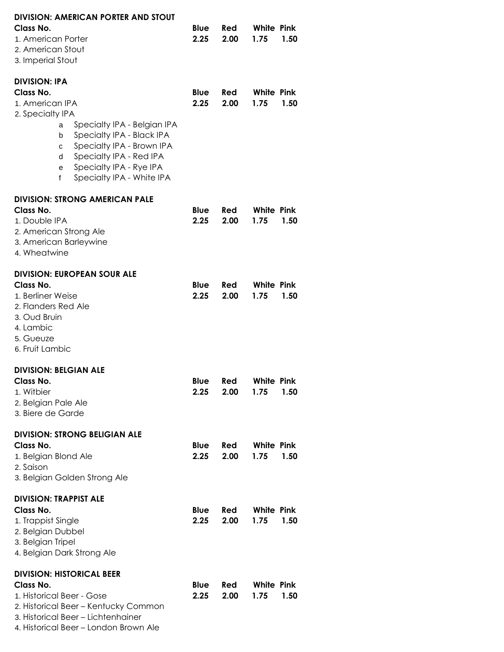| DIVISION: AMERICAN PORTER AND STOUT<br>Class No.<br>1. American Porter<br>2. American Stout<br>3. Imperial Stout                                                                                                                                                                   | <b>Blue</b><br>2.25 | Red<br>2.00        | <b>White Pink</b><br>1.75<br>1.50 |
|------------------------------------------------------------------------------------------------------------------------------------------------------------------------------------------------------------------------------------------------------------------------------------|---------------------|--------------------|-----------------------------------|
| <b>DIVISION: IPA</b><br>Class No.<br>1. American IPA<br>2. Specialty IPA<br>Specialty IPA - Belgian IPA<br>a<br>Specialty IPA - Black IPA<br>b<br>Specialty IPA - Brown IPA<br>с<br>Specialty IPA - Red IPA<br>d<br>Specialty IPA - Rye IPA<br>е<br>Specialty IPA - White IPA<br>f | <b>Blue</b><br>2.25 | Red<br>2.00        | <b>White Pink</b><br>1.75<br>1.50 |
| <b>DIVISION: STRONG AMERICAN PALE</b><br>Class No.<br>1. Double IPA<br>2. American Strong Ale<br>3. American Barleywine<br>4. Wheatwine                                                                                                                                            | <b>Blue</b><br>2.25 | <b>Red</b><br>2.00 | <b>White Pink</b><br>1.75<br>1.50 |
| <b>DIVISION: EUROPEAN SOUR ALE</b><br>Class No.<br>1. Berliner Weise<br>2. Flanders Red Ale<br>3. Oud Bruin<br>4. Lambic<br>5. Gueuze<br>6. Fruit Lambic                                                                                                                           | <b>Blue</b><br>2.25 | Red<br>2.00        | <b>White Pink</b><br>1.75<br>1.50 |
| <b>DIVISION: BELGIAN ALE</b><br>Class No.<br>1. Witbier<br>2. Belgian Pale Ale<br>3. Biere de Garde                                                                                                                                                                                | <b>Blue</b><br>2.25 | Red<br>2.00        | <b>White Pink</b><br>1.75<br>1.50 |
| <b>DIVISION: STRONG BELIGIAN ALE</b><br>Class No.<br>1. Belgian Blond Ale<br>2. Saison<br>3. Belgian Golden Strong Ale                                                                                                                                                             | Blue<br>2.25        | Red<br>2.00        | <b>White Pink</b><br>1.75<br>1.50 |
| <b>DIVISION: TRAPPIST ALE</b><br>Class No.<br>1. Trappist Single<br>2. Belgian Dubbel<br>3. Belgian Tripel<br>4. Belgian Dark Strong Ale                                                                                                                                           | <b>Blue</b><br>2.25 | Red<br>2.00        | <b>White Pink</b><br>1.75<br>1.50 |
| <b>DIVISION: HISTORICAL BEER</b><br>Class No.<br>1. Historical Beer - Gose<br>2. Historical Beer - Kentucky Common<br>3. Historical Beer - Lichtenhainer<br>4. Historical Beer - London Brown Ale                                                                                  | <b>Blue</b><br>2.25 | Red<br>2.00        | <b>White Pink</b><br>1.75<br>1.50 |